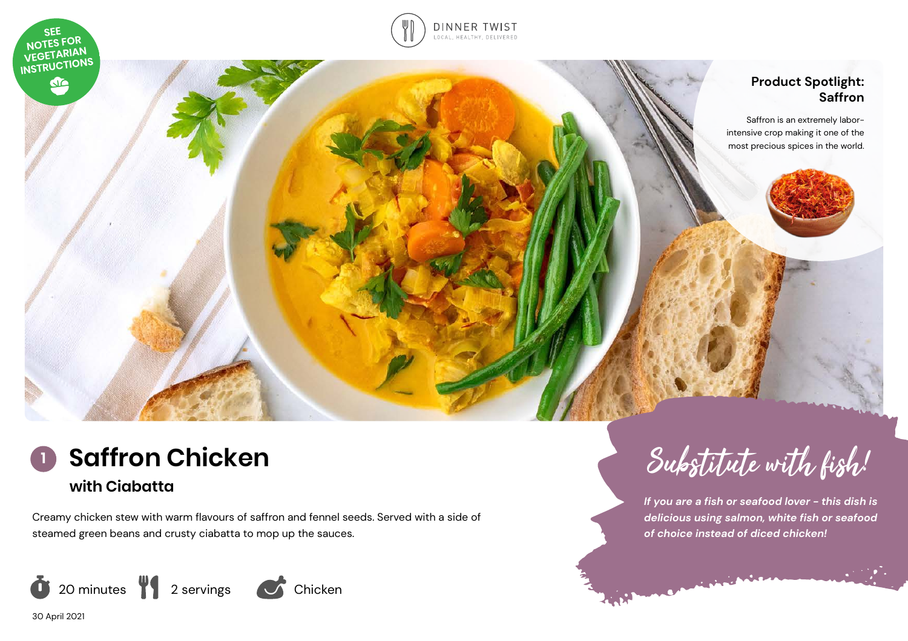



### **Product Spotlight: Saffron**

Saffron is an extremely laborintensive crop making it one of the most precious spices in the world.



Creamy chicken stew with warm flavours of saffron and fennel seeds. Served with a side of steamed green beans and crusty ciabatta to mop up the sauces.



Substitute with fish!

*If you are a fish or seafood lover - this dish is delicious using salmon, white fish or seafood of choice instead of diced chicken!* 

30 April 2021